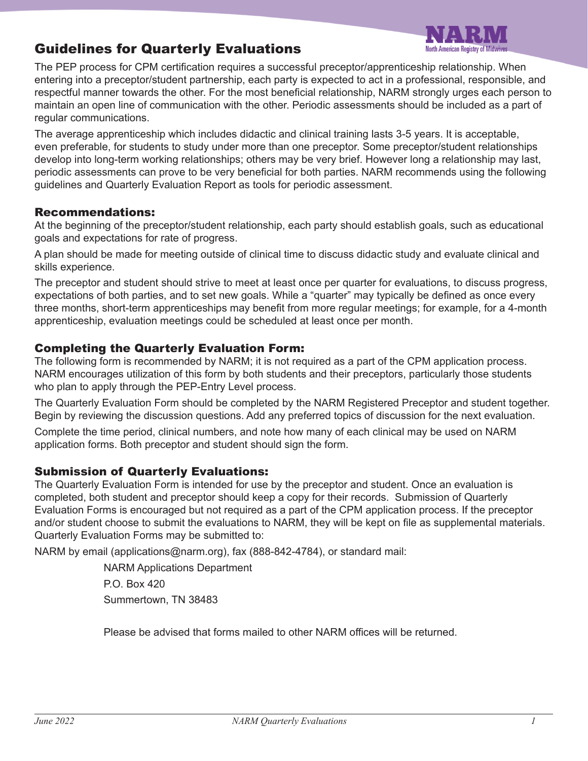

# Guidelines for Quarterly Evaluations

The PEP process for CPM certification requires a successful preceptor/apprenticeship relationship. When entering into a preceptor/student partnership, each party is expected to act in a professional, responsible, and respectful manner towards the other. For the most beneficial relationship, NARM strongly urges each person to maintain an open line of communication with the other. Periodic assessments should be included as a part of regular communications.

The average apprenticeship which includes didactic and clinical training lasts 3-5 years. It is acceptable, even preferable, for students to study under more than one preceptor. Some preceptor/student relationships develop into long-term working relationships; others may be very brief. However long a relationship may last, periodic assessments can prove to be very beneficial for both parties. NARM recommends using the following guidelines and Quarterly Evaluation Report as tools for periodic assessment.

#### Recommendations:

At the beginning of the preceptor/student relationship, each party should establish goals, such as educational goals and expectations for rate of progress.

A plan should be made for meeting outside of clinical time to discuss didactic study and evaluate clinical and skills experience.

The preceptor and student should strive to meet at least once per quarter for evaluations, to discuss progress, expectations of both parties, and to set new goals. While a "quarter" may typically be defined as once every three months, short-term apprenticeships may benefit from more regular meetings; for example, for a 4-month apprenticeship, evaluation meetings could be scheduled at least once per month.

## Completing the Quarterly Evaluation Form:

The following form is recommended by NARM; it is not required as a part of the CPM application process. NARM encourages utilization of this form by both students and their preceptors, particularly those students who plan to apply through the PEP-Entry Level process.

The Quarterly Evaluation Form should be completed by the NARM Registered Preceptor and student together. Begin by reviewing the discussion questions. Add any preferred topics of discussion for the next evaluation.

Complete the time period, clinical numbers, and note how many of each clinical may be used on NARM application forms. Both preceptor and student should sign the form.

### Submission of Quarterly Evaluations:

The Quarterly Evaluation Form is intended for use by the preceptor and student. Once an evaluation is completed, both student and preceptor should keep a copy for their records. Submission of Quarterly Evaluation Forms is encouraged but not required as a part of the CPM application process. If the preceptor and/or student choose to submit the evaluations to NARM, they will be kept on file as supplemental materials. Quarterly Evaluation Forms may be submitted to:

NARM by email (applications@narm.org), fax (888-842-4784), or standard mail:

NARM Applications Department P.O. Box 420 Summertown, TN 38483

Please be advised that forms mailed to other NARM offices will be returned.